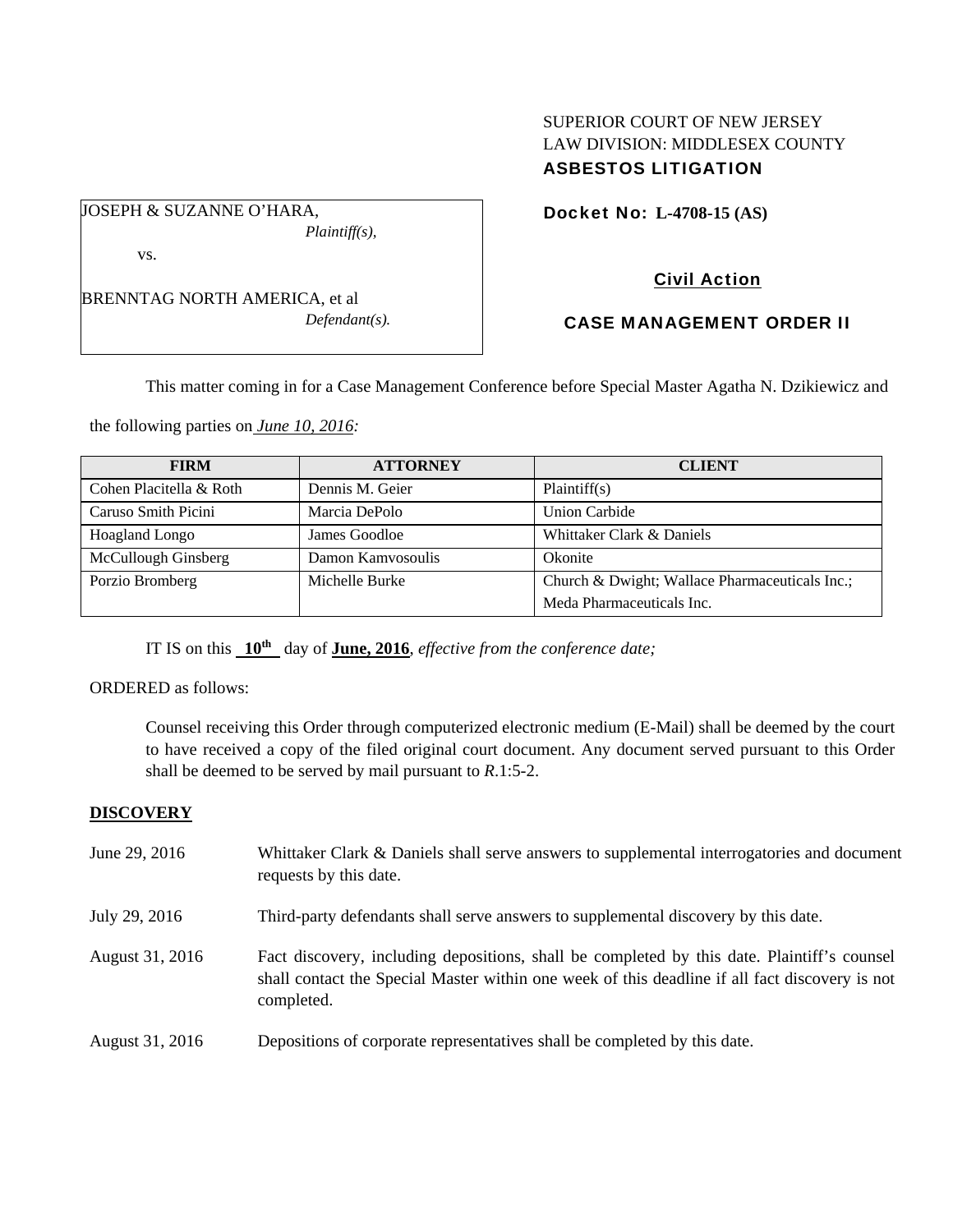# SUPERIOR COURT OF NEW JERSEY LAW DIVISION: MIDDLESEX COUNTY ASBESTOS LITIGATION

Docket No: **L-4708-15 (AS)** 

vs.

JOSEPH & SUZANNE O'HARA,

BRENNTAG NORTH AMERICA, et al *Defendant(s).* 

*Plaintiff(s),* 

Civil Action

## CASE MANAGEMENT ORDER II

This matter coming in for a Case Management Conference before Special Master Agatha N. Dzikiewicz and

the following parties on *June 10, 2016:* 

| <b>FIRM</b>             | <b>ATTORNEY</b>   | <b>CLIENT</b>                                  |
|-------------------------|-------------------|------------------------------------------------|
| Cohen Placitella & Roth | Dennis M. Geier   | Plaintiff(s)                                   |
| Caruso Smith Picini     | Marcia DePolo     | Union Carbide                                  |
| Hoagland Longo          | James Goodloe     | Whittaker Clark & Daniels                      |
| McCullough Ginsberg     | Damon Kamyosoulis | Okonite                                        |
| Porzio Bromberg         | Michelle Burke    | Church & Dwight; Wallace Pharmaceuticals Inc.; |
|                         |                   | Meda Pharmaceuticals Inc.                      |

IT IS on this **10th** day of **June, 2016**, *effective from the conference date;*

ORDERED as follows:

Counsel receiving this Order through computerized electronic medium (E-Mail) shall be deemed by the court to have received a copy of the filed original court document. Any document served pursuant to this Order shall be deemed to be served by mail pursuant to *R*.1:5-2.

## **DISCOVERY**

| June 29, 2016   | Whittaker Clark & Daniels shall serve answers to supplemental interrogatories and document<br>requests by this date.                                                                                        |
|-----------------|-------------------------------------------------------------------------------------------------------------------------------------------------------------------------------------------------------------|
| July 29, 2016   | Third-party defendants shall serve answers to supplemental discovery by this date.                                                                                                                          |
| August 31, 2016 | Fact discovery, including depositions, shall be completed by this date. Plaintiff's counsel<br>shall contact the Special Master within one week of this deadline if all fact discovery is not<br>completed. |
| August 31, 2016 | Depositions of corporate representatives shall be completed by this date.                                                                                                                                   |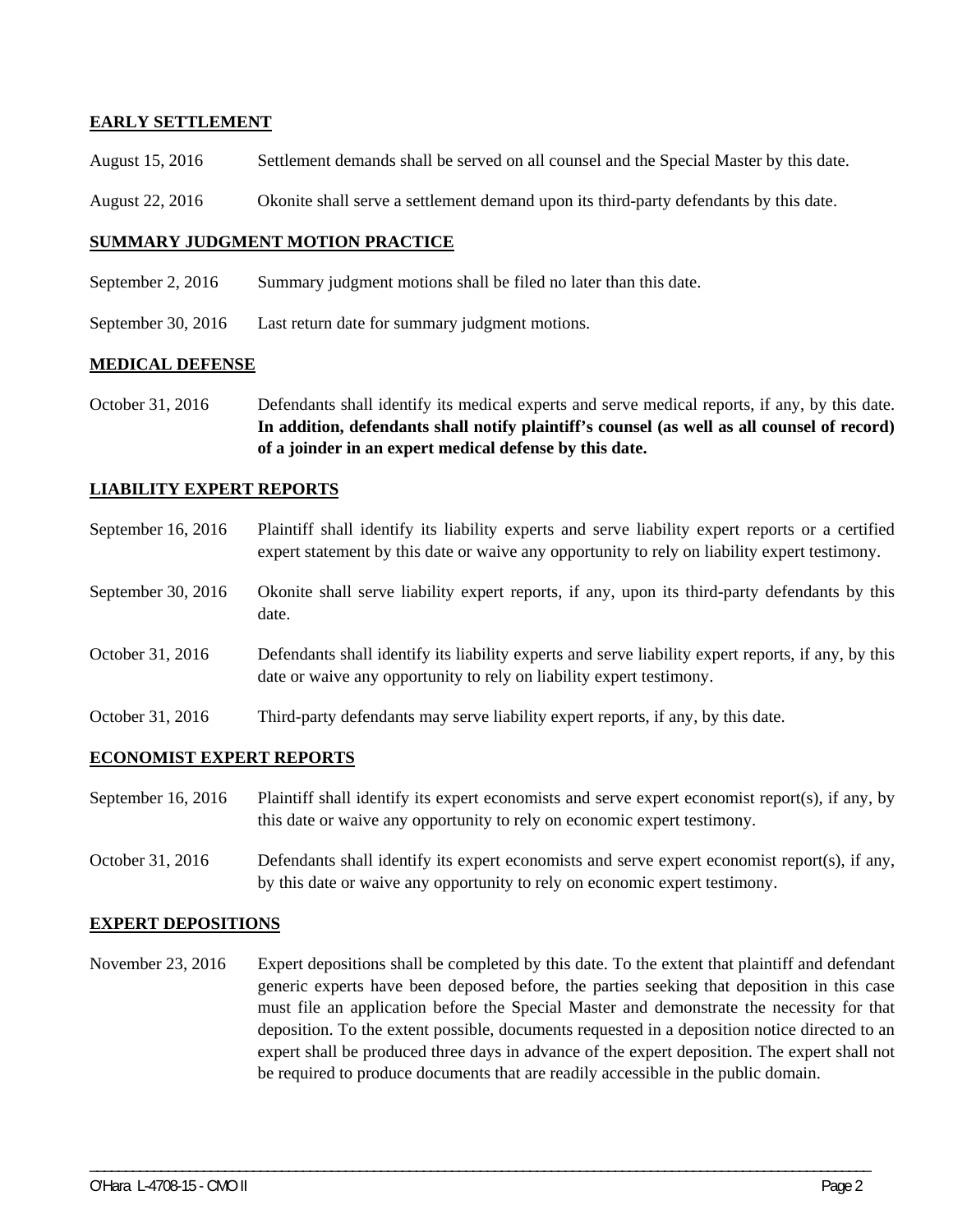### **EARLY SETTLEMENT**

- August 15, 2016 Settlement demands shall be served on all counsel and the Special Master by this date.
- August 22, 2016 Okonite shall serve a settlement demand upon its third-party defendants by this date.

#### **SUMMARY JUDGMENT MOTION PRACTICE**

- September 2, 2016 Summary judgment motions shall be filed no later than this date.
- September 30, 2016 Last return date for summary judgment motions.

#### **MEDICAL DEFENSE**

October 31, 2016 Defendants shall identify its medical experts and serve medical reports, if any, by this date. **In addition, defendants shall notify plaintiff's counsel (as well as all counsel of record) of a joinder in an expert medical defense by this date.** 

#### **LIABILITY EXPERT REPORTS**

- September 16, 2016 Plaintiff shall identify its liability experts and serve liability expert reports or a certified expert statement by this date or waive any opportunity to rely on liability expert testimony.
- September 30, 2016 Okonite shall serve liability expert reports, if any, upon its third-party defendants by this date.
- October 31, 2016 Defendants shall identify its liability experts and serve liability expert reports, if any, by this date or waive any opportunity to rely on liability expert testimony.
- October 31, 2016 Third-party defendants may serve liability expert reports, if any, by this date.

#### **ECONOMIST EXPERT REPORTS**

- September 16, 2016 Plaintiff shall identify its expert economists and serve expert economist report(s), if any, by this date or waive any opportunity to rely on economic expert testimony.
- October 31, 2016 Defendants shall identify its expert economists and serve expert economist report(s), if any, by this date or waive any opportunity to rely on economic expert testimony.

#### **EXPERT DEPOSITIONS**

November 23, 2016 Expert depositions shall be completed by this date. To the extent that plaintiff and defendant generic experts have been deposed before, the parties seeking that deposition in this case must file an application before the Special Master and demonstrate the necessity for that deposition. To the extent possible, documents requested in a deposition notice directed to an expert shall be produced three days in advance of the expert deposition. The expert shall not be required to produce documents that are readily accessible in the public domain.

\_\_\_\_\_\_\_\_\_\_\_\_\_\_\_\_\_\_\_\_\_\_\_\_\_\_\_\_\_\_\_\_\_\_\_\_\_\_\_\_\_\_\_\_\_\_\_\_\_\_\_\_\_\_\_\_\_\_\_\_\_\_\_\_\_\_\_\_\_\_\_\_\_\_\_\_\_\_\_\_\_\_\_\_\_\_\_\_\_\_\_\_\_\_\_\_\_\_\_\_\_\_\_\_\_\_\_\_\_\_